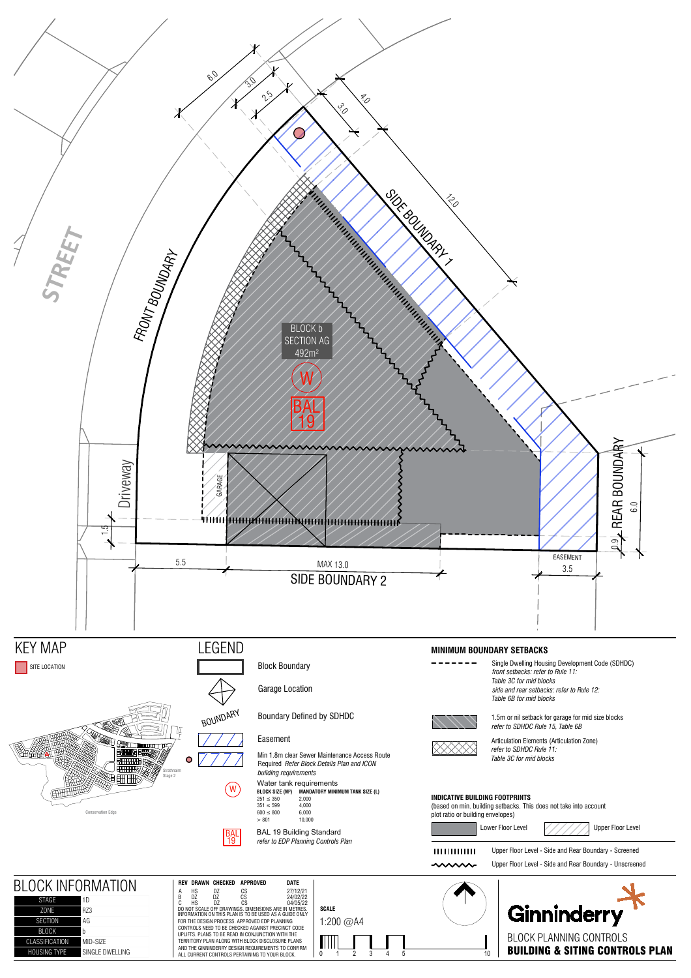